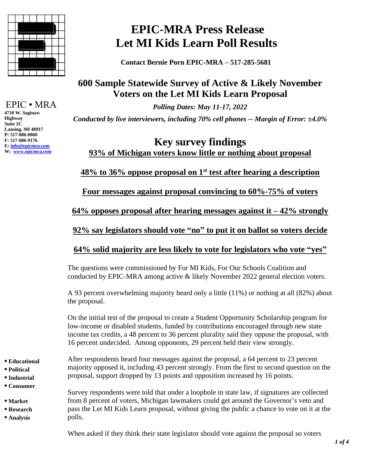

EPIC ▪ MRA

**4710 W. Saginaw Highway Suite 2C Lansing, MI 48917 P: 517-886-0860 F: 517-886-9176 E[: info@epicmra.com](mailto:info@epicmra.com) W: [www.epicmra.com](http://www.epicmra.com/)**

# **EPIC-MRA Press Release Let MI Kids Learn Poll Results**

 **Contact Bernie Porn EPIC-MRA – 517-285-5681**

## **600 Sample Statewide Survey of Active & Likely November Voters on the Let MI Kids Learn Proposal**

*Polling Dates: May 11-17, 2022 Conducted by live interviewers, including 70% cell phones -- Margin of Error: ±4.0%*

## **Key survey findings 93% of Michigan voters know little or nothing about proposal**

### **48% to 36% oppose proposal on 1 st test after hearing a description**

**Four messages against proposal convincing to 60%-75% of voters**

**64% opposes proposal after hearing messages against it – 42% strongly**

**92% say legislators should vote "no" to put it on ballot so voters decide** 

#### **64% solid majority are less likely to vote for legislators who vote "yes"**

The questions were commissioned by For MI Kids, For Our Schools Coalition and conducted by EPIC-MRA among active & likely November 2022 general election voters.

A 93 percent overwhelming majority heard only a little (11%) or nothing at all (82%) about the proposal.

On the initial test of the proposal to create a Student Opportunity Scholarship program for low-income or disabled students, funded by contributions encouraged through new state income tax credits, a 48 percent to 36 percent plurality said they oppose the proposal, with 16 percent undecided. Among opponents, 29 percent held their view strongly.

- **▪ Educational**
- **▪ Political**
- **▪ Industrial**
- **▪ Consumer**
- **▪ Market**
- **▪ Research**
- **▪ Analysis**

After respondents heard four messages against the proposal, a 64 percent to 23 percent majority opposed it, including 43 percent strongly. From the first to second question on the proposal, support dropped by 13 points and opposition increased by 16 points.

Survey respondents were told that under a loophole in state law, if signatures are collected from 8 percent of voters, Michigan lawmakers could get around the Governor's veto and pass the Let MI Kids Learn proposal, without giving the public a chance to vote on it at the polls.

When asked if they think their state legislator should vote against the proposal so voters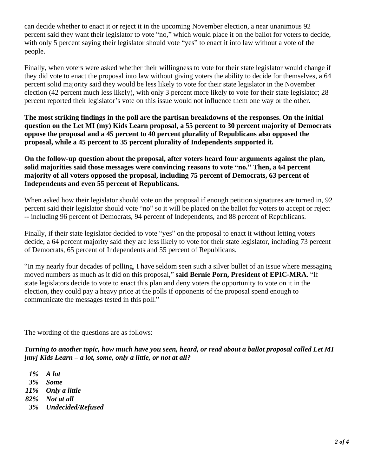can decide whether to enact it or reject it in the upcoming November election, a near unanimous 92 percent said they want their legislator to vote "no," which would place it on the ballot for voters to decide, with only 5 percent saying their legislator should vote "yes" to enact it into law without a vote of the people.

Finally, when voters were asked whether their willingness to vote for their state legislator would change if they did vote to enact the proposal into law without giving voters the ability to decide for themselves, a 64 percent solid majority said they would be less likely to vote for their state legislator in the November election (42 percent much less likely), with only 3 percent more likely to vote for their state legislator; 28 percent reported their legislator's vote on this issue would not influence them one way or the other.

**The most striking findings in the poll are the partisan breakdowns of the responses. On the initial question on the Let MI (my) Kids Learn proposal, a 55 percent to 30 percent majority of Democrats oppose the proposal and a 45 percent to 40 percent plurality of Republicans also opposed the proposal, while a 45 percent to 35 percent plurality of Independents supported it.** 

**On the follow-up question about the proposal, after voters heard four arguments against the plan, solid majorities said those messages were convincing reasons to vote "no." Then, a 64 percent majority of all voters opposed the proposal, including 75 percent of Democrats, 63 percent of Independents and even 55 percent of Republicans.** 

When asked how their legislator should vote on the proposal if enough petition signatures are turned in, 92 percent said their legislator should vote "no" so it will be placed on the ballot for voters to accept or reject -- including 96 percent of Democrats, 94 percent of Independents, and 88 percent of Republicans.

Finally, if their state legislator decided to vote "yes" on the proposal to enact it without letting voters decide, a 64 percent majority said they are less likely to vote for their state legislator, including 73 percent of Democrats, 65 percent of Independents and 55 percent of Republicans.

"In my nearly four decades of polling, I have seldom seen such a silver bullet of an issue where messaging moved numbers as much as it did on this proposal," **said Bernie Porn, President of EPIC-MRA**. "If state legislators decide to vote to enact this plan and deny voters the opportunity to vote on it in the election, they could pay a heavy price at the polls if opponents of the proposal spend enough to communicate the messages tested in this poll."

The wording of the questions are as follows:

*Turning to another topic, how much have you seen, heard, or read about a ballot proposal called Let MI [my] Kids Learn – a lot, some, only a little, or not at all?*

 *1% A lot*

*3% Some*

*11% Only a little*

*82% Not at all*

 *3% Undecided/Refused*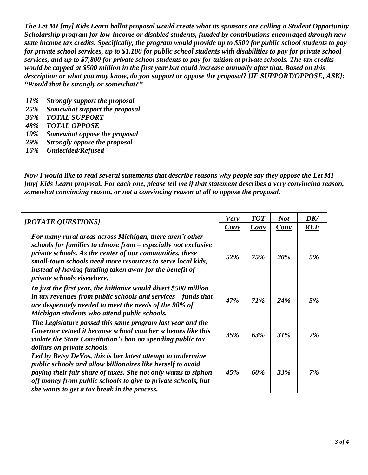*The Let MI [my] Kids Learn ballot proposal would create what its sponsors are calling a Student Opportunity Scholarship program for low-income or disabled students, funded by contributions encouraged through new state income tax credits. Specifically, the program would provide up to \$500 for public school students to pay for private school services, up to \$1,100 for public school students with disabilities to pay for private school services, and up to \$7,800 for private school students to pay for tuition at private schools. The tax credits would be capped at \$500 million in the first year but could increase annually after that. Based on this description or what you may know, do you support or oppose the proposal? [IF SUPPORT/OPPOSE, ASK]: "Would that be strongly or somewhat?"*

- *11% Strongly support the proposal*
- *25% Somewhat support the proposal*
- *36% TOTAL SUPPORT*
- *48% TOTAL OPPOSE*
- *19% Somewhat oppose the proposal*
- *29% Strongly oppose the proposal*
- *16% Undecided/Refused*

*Now I would like to read several statements that describe reasons why people say they oppose the Let MI [my] Kids Learn proposal. For each one, please tell me if that statement describes a very convincing reason, somewhat convincing reason, or not a convincing reason at all to oppose the proposal.*

| [ROTATE QUESTIONS]                                                                                                                                                                                                                                                                                                                             | <b>Very</b><br>Conv | <b>TOT</b><br>Conv | <b>Not</b><br>Conv | DK/<br><b>REF</b> |
|------------------------------------------------------------------------------------------------------------------------------------------------------------------------------------------------------------------------------------------------------------------------------------------------------------------------------------------------|---------------------|--------------------|--------------------|-------------------|
| For many rural areas across Michigan, there aren't other<br>schools for families to choose from - especially not exclusive<br>private schools. As the center of our communities, these<br>small-town schools need more resources to serve local kids,<br>instead of having funding taken away for the benefit of<br>private schools elsewhere. | 52%                 | 75%                | 20%                | 5%                |
| In just the first year, the initiative would divert \$500 million<br>in tax revenues from public schools and services $-$ funds that<br>are desperately needed to meet the needs of the 90% of<br>Michigan students who attend public schools.                                                                                                 | 47%                 | 71%                | 24%                | 5%                |
| The Legislature passed this same program last year and the<br>Governor vetoed it because school voucher schemes like this<br>violate the State Constitution's ban on spending public tax<br>dollars on private schools.                                                                                                                        | 35%                 | 63%                | 31%                | 7%                |
| Led by Betsy DeVos, this is her latest attempt to undermine<br>public schools and allow billionaires like herself to avoid<br>paying their fair share of taxes. She not only wants to siphon<br>off money from public schools to give to private schools, but<br>she wants to get a tax break in the process.                                  | 45%                 | 60%                | 33%                | 7%                |